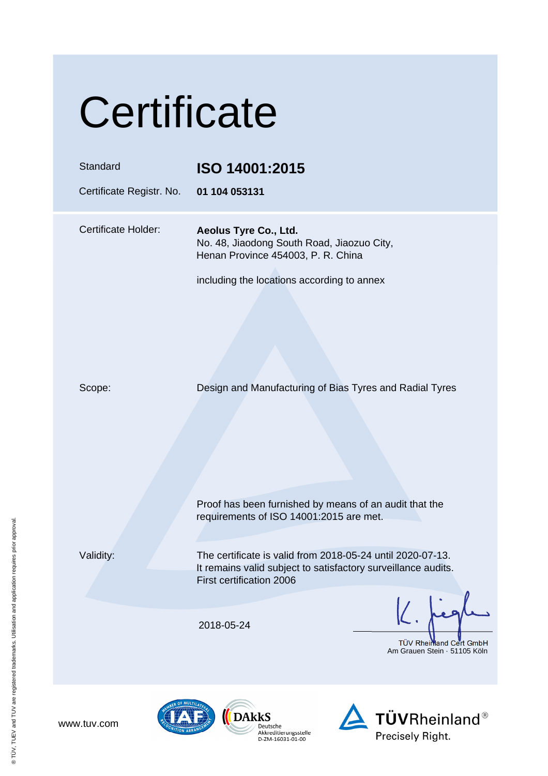|  | Certificate |
|--|-------------|
|  |             |

| Standard<br>Certificate Registr. No. | ISO 14001:2015<br>01 104 053131                                                                                                                         |
|--------------------------------------|---------------------------------------------------------------------------------------------------------------------------------------------------------|
| <b>Certificate Holder:</b>           | Aeolus Tyre Co., Ltd.<br>No. 48, Jiaodong South Road, Jiaozuo City,<br>Henan Province 454003, P. R. China<br>including the locations according to annex |
| Scope:                               | Design and Manufacturing of Bias Tyres and Radial Tyres                                                                                                 |
|                                      | Proof has been furnished by means of an audit that the<br>requirements of ISO 14001:2015 are met.                                                       |
| Validity:                            | The certificate is valid from 2018-05-24 until 2020-07-13.<br>It remains valid subject to satisfactory surveillance audits.<br>First certification 2006 |
|                                      | 2018-05-24<br>TÜV Rheimand Cert GmbH<br>Am Grauen Stein · 51105 Köln                                                                                    |







www.tuv.com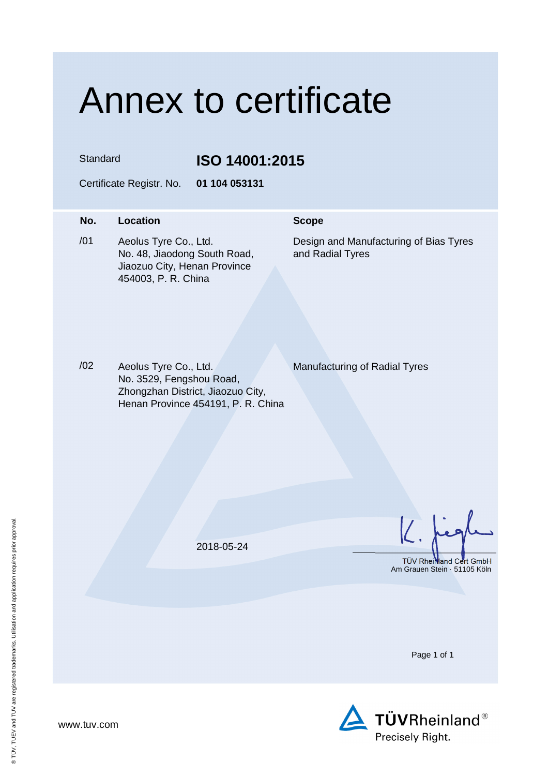## Annex to certificate

Standard **ISO 14001:2015** 

Certificate Registr. No. **01 104 053131** 

## **No.** Location **Scope** /01 Aeolus Tyre Co., Ltd. No. 48, Jiaodong South Road, Jiaozuo City, Henan Province 454003, P. R. China Design and Manufacturing of Bias Tyres and Radial Tyres

/02 Aeolus Tyre Co., Ltd. No. 3529, Fengshou Road, Zhongzhan District, Jiaozuo City, Henan Province 454191, P. R. China

Manufacturing of Radial Tyres

2018-05-24

TÜV Rheinland Cert GmbH Am Grauen Stein · 51105 Köln

Page 1 of 1



www.tuv.com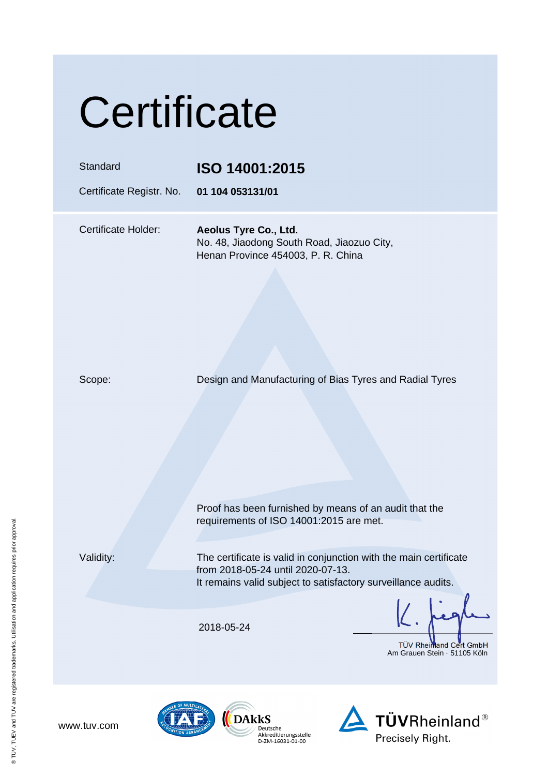|  | Certificate |
|--|-------------|
|  |             |

## Standard **ISO 14001:2015**

Certificate Registr. No. **01 104 053131/01**

Certificate Holder: **Aeolus Tyre Co., Ltd.**  No. 48, Jiaodong South Road, Jiaozuo City, Henan Province 454003, P. R. China

Scope: Design and Manufacturing of Bias Tyres and Radial Tyres

 Proof has been furnished by means of an audit that the requirements of ISO 14001:2015 are met.

www.tuv.com

Validity: The certificate is valid in conjunction with the main certificate from 2018-05-24 until 2020-07-13. It remains valid subject to satisfactory surveillance audits.

2018-05-24

TÜV Rheimland Cert GmbH Am Grauen Stein · 51105 Köln